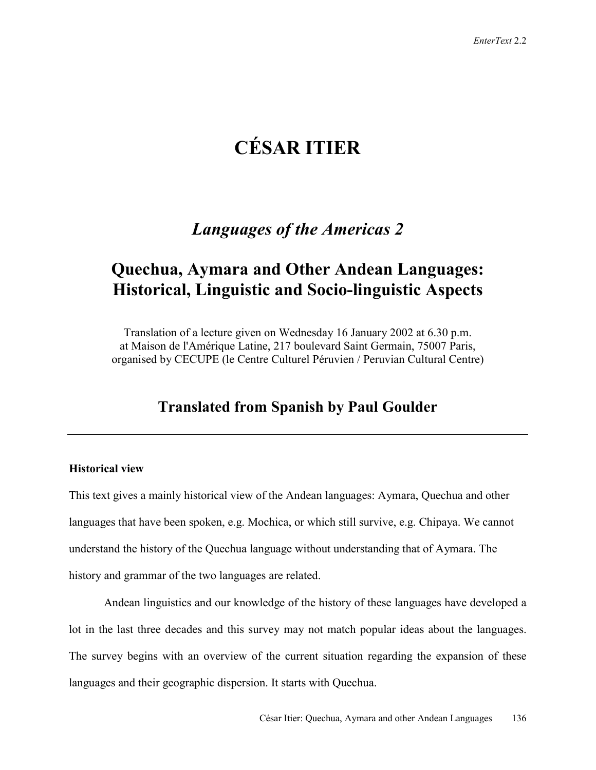# **CÉSAR ITIER**

## *Languages of the Americas 2*

## **Quechua, Aymara and Other Andean Languages: Historical, Linguistic and Socio-linguistic Aspects**

Translation of a lecture given on Wednesday 16 January 2002 at 6.30 p.m. at Maison de l'Amérique Latine, 217 boulevard Saint Germain, 75007 Paris, organised by CECUPE (le Centre Culturel Péruvien / Peruvian Cultural Centre)

### **Translated from Spanish by Paul Goulder**

### **Historical view**

This text gives a mainly historical view of the Andean languages: Aymara, Quechua and other languages that have been spoken, e.g. Mochica, or which still survive, e.g. Chipaya. We cannot understand the history of the Quechua language without understanding that of Aymara. The history and grammar of the two languages are related.

Andean linguistics and our knowledge of the history of these languages have developed a lot in the last three decades and this survey may not match popular ideas about the languages. The survey begins with an overview of the current situation regarding the expansion of these languages and their geographic dispersion. It starts with Quechua.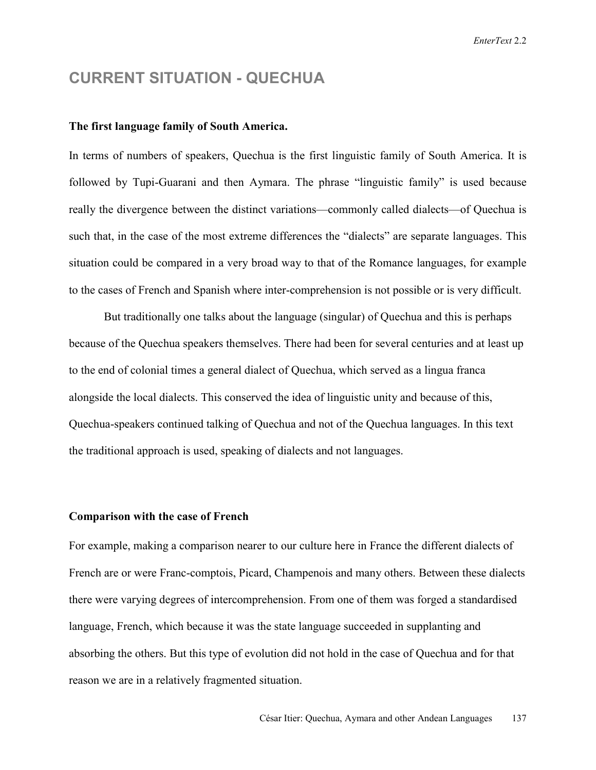### **CURRENT SITUATION - QUECHUA**

### **The first language family of South America.**

In terms of numbers of speakers, Quechua is the first linguistic family of South America. It is followed by Tupi-Guarani and then Aymara. The phrase "linguistic family" is used because really the divergence between the distinct variations—commonly called dialects—of Quechua is such that, in the case of the most extreme differences the "dialects" are separate languages. This situation could be compared in a very broad way to that of the Romance languages, for example to the cases of French and Spanish where inter-comprehension is not possible or is very difficult.

But traditionally one talks about the language (singular) of Quechua and this is perhaps because of the Quechua speakers themselves. There had been for several centuries and at least up to the end of colonial times a general dialect of Quechua, which served as a lingua franca alongside the local dialects. This conserved the idea of linguistic unity and because of this, Quechua-speakers continued talking of Quechua and not of the Quechua languages. In this text the traditional approach is used, speaking of dialects and not languages.

### **Comparison with the case of French**

For example, making a comparison nearer to our culture here in France the different dialects of French are or were Franc-comptois, Picard, Champenois and many others. Between these dialects there were varying degrees of intercomprehension. From one of them was forged a standardised language, French, which because it was the state language succeeded in supplanting and absorbing the others. But this type of evolution did not hold in the case of Quechua and for that reason we are in a relatively fragmented situation.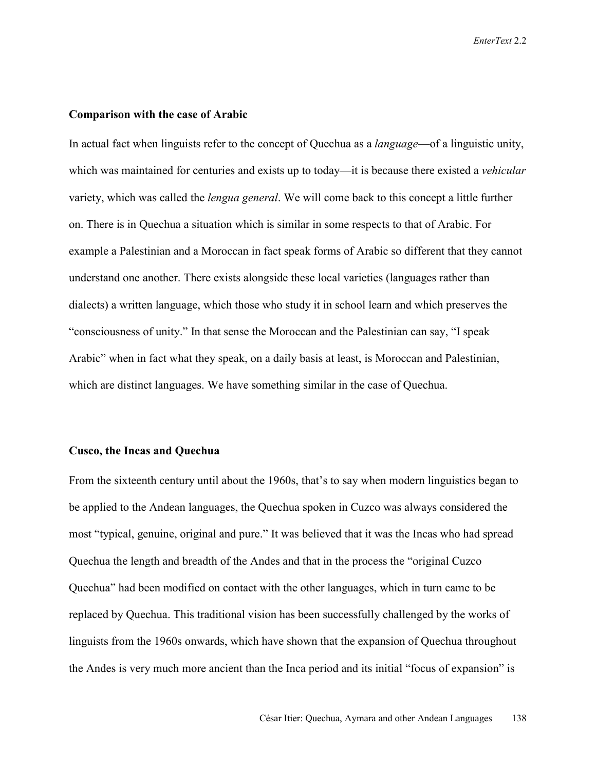### **Comparison with the case of Arabic**

In actual fact when linguists refer to the concept of Quechua as a *language*—of a linguistic unity, which was maintained for centuries and exists up to today—it is because there existed a *vehicular* variety, which was called the *lengua general*. We will come back to this concept a little further on. There is in Quechua a situation which is similar in some respects to that of Arabic. For example a Palestinian and a Moroccan in fact speak forms of Arabic so different that they cannot understand one another. There exists alongside these local varieties (languages rather than dialects) a written language, which those who study it in school learn and which preserves the "consciousness of unity." In that sense the Moroccan and the Palestinian can say, "I speak Arabic" when in fact what they speak, on a daily basis at least, is Moroccan and Palestinian, which are distinct languages. We have something similar in the case of Quechua.

### **Cusco, the Incas and Quechua**

From the sixteenth century until about the 1960s, that's to say when modern linguistics began to be applied to the Andean languages, the Quechua spoken in Cuzco was always considered the most "typical, genuine, original and pure." It was believed that it was the Incas who had spread Quechua the length and breadth of the Andes and that in the process the "original Cuzco Quechua" had been modified on contact with the other languages, which in turn came to be replaced by Quechua. This traditional vision has been successfully challenged by the works of linguists from the 1960s onwards, which have shown that the expansion of Quechua throughout the Andes is very much more ancient than the Inca period and its initial "focus of expansion" is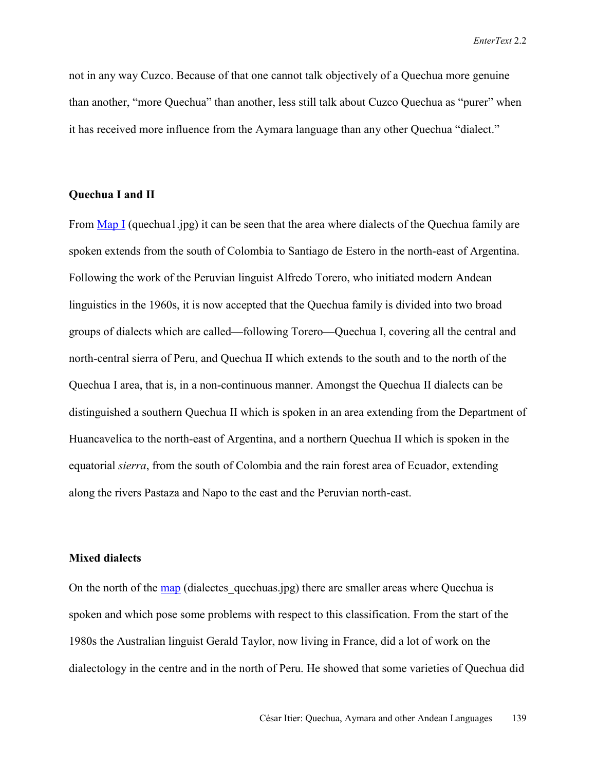not in any way Cuzco. Because of that one cannot talk objectively of a Quechua more genuine than another, "more Quechua" than another, less still talk about Cuzco Quechua as "purer" when it has received more influence from the Aymara language than any other Quechua "dialect."

### **Quechua I and II**

From  $\overline{Map I}$  (quechual.jpg) it can be seen that the area where dialects of the Quechua family are spoken extends from the south of Colombia to Santiago de Estero in the north-east of Argentina. Following the work of the Peruvian linguist Alfredo Torero, who initiated modern Andean linguistics in the 1960s, it is now accepted that the Quechua family is divided into two broad groups of dialects which are called—following Torero—Quechua I, covering all the central and north-central sierra of Peru, and Quechua II which extends to the south and to the north of the Quechua I area, that is, in a non-continuous manner. Amongst the Quechua II dialects can be distinguished a southern Quechua II which is spoken in an area extending from the Department of Huancavelica to the north-east of Argentina, and a northern Quechua II which is spoken in the equatorial *sierra*, from the south of Colombia and the rain forest area of Ecuador, extending along the rivers Pastaza and Napo to the east and the Peruvian north-east.

### **Mixed dialects**

On the north of the map (dialectes quechuas.jpg) there are smaller areas where Quechua is spoken and which pose some problems with respect to this classification. From the start of the 1980s the Australian linguist Gerald Taylor, now living in France, did a lot of work on the dialectology in the centre and in the north of Peru. He showed that some varieties of Quechua did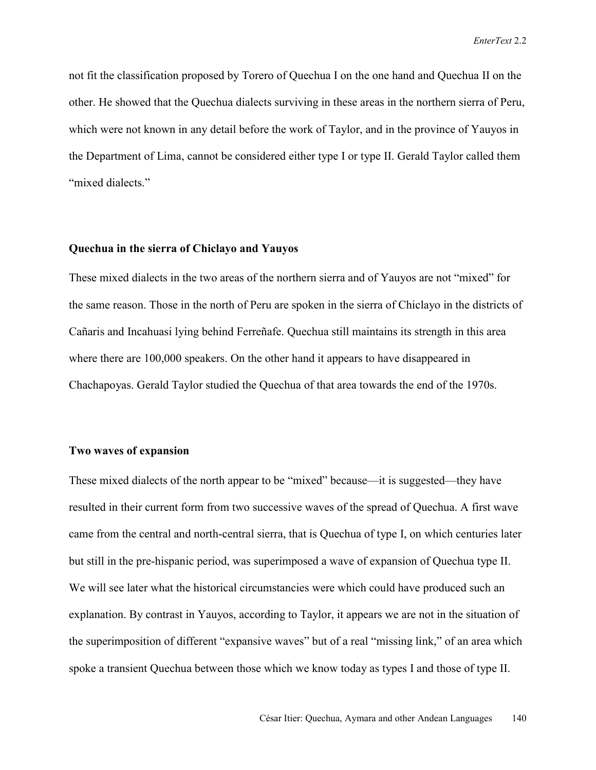not fit the classification proposed by Torero of Quechua I on the one hand and Quechua II on the other. He showed that the Quechua dialects surviving in these areas in the northern sierra of Peru, which were not known in any detail before the work of Taylor, and in the province of Yauyos in the Department of Lima, cannot be considered either type I or type II. Gerald Taylor called them "mixed dialects."

### **Quechua in the sierra of Chiclayo and Yauyos**

These mixed dialects in the two areas of the northern sierra and of Yauyos are not "mixed" for the same reason. Those in the north of Peru are spoken in the sierra of Chiclayo in the districts of Cañaris and Incahuasi lying behind Ferreñafe. Quechua still maintains its strength in this area where there are 100,000 speakers. On the other hand it appears to have disappeared in Chachapoyas. Gerald Taylor studied the Quechua of that area towards the end of the 1970s.

### **Two waves of expansion**

These mixed dialects of the north appear to be "mixed" because—it is suggested—they have resulted in their current form from two successive waves of the spread of Quechua. A first wave came from the central and north-central sierra, that is Quechua of type I, on which centuries later but still in the pre-hispanic period, was superimposed a wave of expansion of Quechua type II. We will see later what the historical circumstancies were which could have produced such an explanation. By contrast in Yauyos, according to Taylor, it appears we are not in the situation of the superimposition of different "expansive waves" but of a real "missing link," of an area which spoke a transient Quechua between those which we know today as types I and those of type II.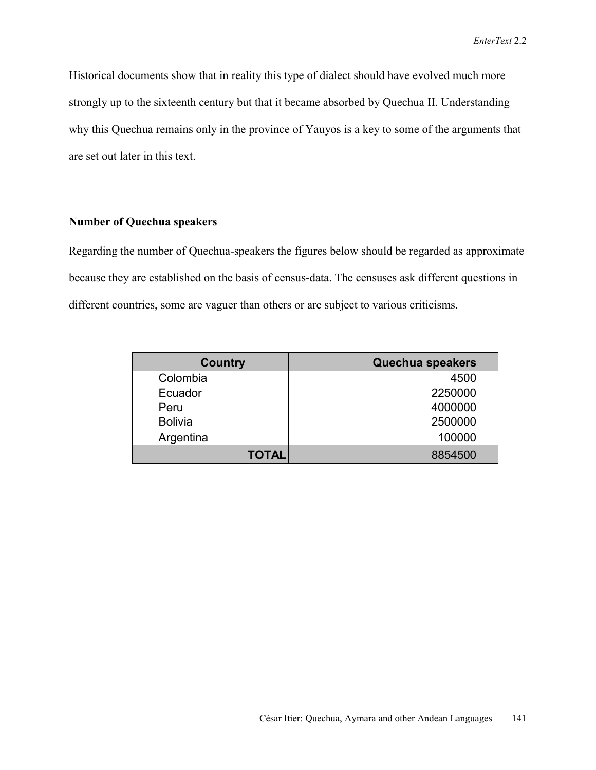Historical documents show that in reality this type of dialect should have evolved much more strongly up to the sixteenth century but that it became absorbed by Quechua II. Understanding why this Quechua remains only in the province of Yauyos is a key to some of the arguments that are set out later in this text.

### **Number of Quechua speakers**

Regarding the number of Quechua-speakers the figures below should be regarded as approximate because they are established on the basis of census-data. The censuses ask different questions in different countries, some are vaguer than others or are subject to various criticisms.

| <b>Country</b> | Quechua speakers |
|----------------|------------------|
| Colombia       | 4500             |
| Ecuador        | 2250000          |
| Peru           | 4000000          |
| <b>Bolivia</b> | 2500000          |
| Argentina      | 100000           |
| <b>TOTAL</b>   | 8854500          |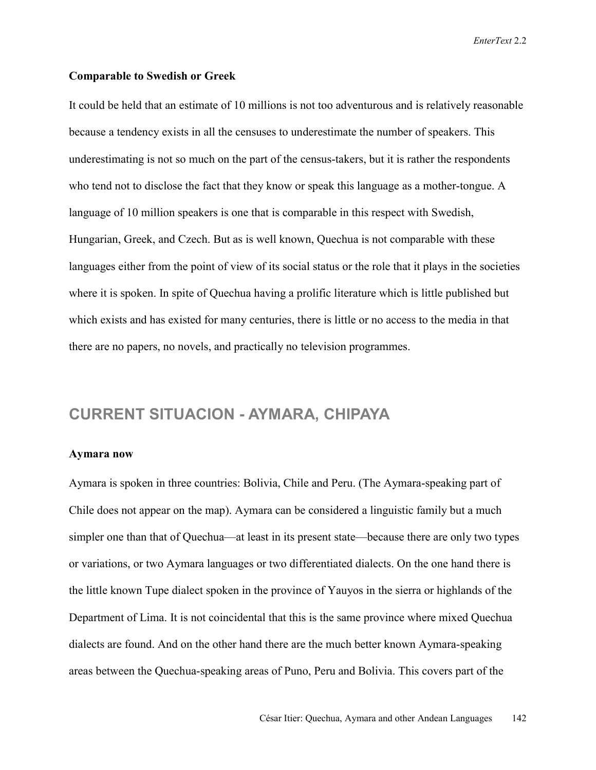#### **Comparable to Swedish or Greek**

It could be held that an estimate of 10 millions is not too adventurous and is relatively reasonable because a tendency exists in all the censuses to underestimate the number of speakers. This underestimating is not so much on the part of the census-takers, but it is rather the respondents who tend not to disclose the fact that they know or speak this language as a mother-tongue. A language of 10 million speakers is one that is comparable in this respect with Swedish, Hungarian, Greek, and Czech. But as is well known, Quechua is not comparable with these languages either from the point of view of its social status or the role that it plays in the societies where it is spoken. In spite of Quechua having a prolific literature which is little published but which exists and has existed for many centuries, there is little or no access to the media in that there are no papers, no novels, and practically no television programmes.

### **CURRENT SITUACION - AYMARA, CHIPAYA**

### **Aymara now**

Aymara is spoken in three countries: Bolivia, Chile and Peru. (The Aymara-speaking part of Chile does not appear on the map). Aymara can be considered a linguistic family but a much simpler one than that of Quechua—at least in its present state—because there are only two types or variations, or two Aymara languages or two differentiated dialects. On the one hand there is the little known Tupe dialect spoken in the province of Yauyos in the sierra or highlands of the Department of Lima. It is not coincidental that this is the same province where mixed Quechua dialects are found. And on the other hand there are the much better known Aymara-speaking areas between the Quechua-speaking areas of Puno, Peru and Bolivia. This covers part of the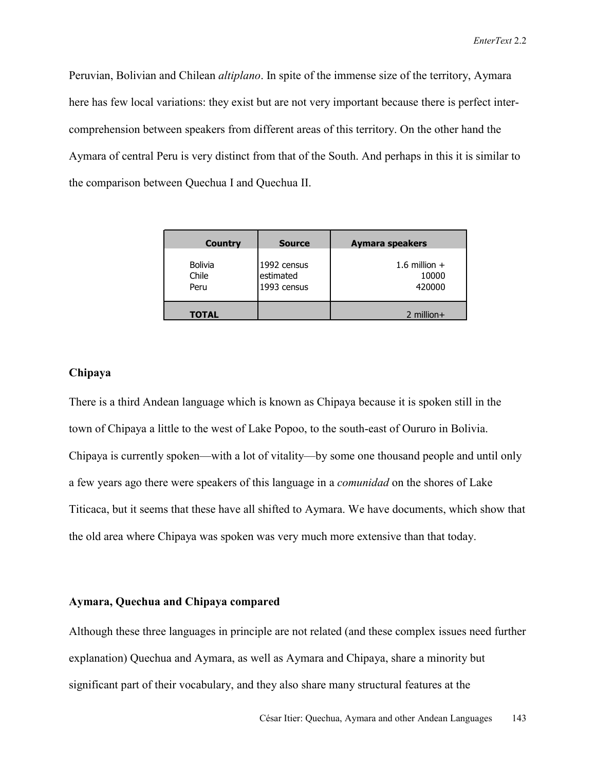Peruvian, Bolivian and Chilean *altiplano*. In spite of the immense size of the territory, Aymara here has few local variations: they exist but are not very important because there is perfect intercomprehension between speakers from different areas of this territory. On the other hand the Aymara of central Peru is very distinct from that of the South. And perhaps in this it is similar to the comparison between Quechua I and Quechua II.

| Country                         | <b>Source</b>                           | Aymara speakers                    |
|---------------------------------|-----------------------------------------|------------------------------------|
| <b>Bolivia</b><br>Chile<br>Peru | 1992 census<br>estimated<br>1993 census | 1.6 million $+$<br>10000<br>420000 |
| <b>TOTAL</b>                    |                                         | $2$ million +                      |

### **Chipaya**

There is a third Andean language which is known as Chipaya because it is spoken still in the town of Chipaya a little to the west of Lake Popoo, to the south-east of Oururo in Bolivia. Chipaya is currently spoken—with a lot of vitality—by some one thousand people and until only a few years ago there were speakers of this language in a *comunidad* on the shores of Lake Titicaca, but it seems that these have all shifted to Aymara. We have documents, which show that the old area where Chipaya was spoken was very much more extensive than that today.

### **Aymara, Quechua and Chipaya compared**

Although these three languages in principle are not related (and these complex issues need further explanation) Quechua and Aymara, as well as Aymara and Chipaya, share a minority but significant part of their vocabulary, and they also share many structural features at the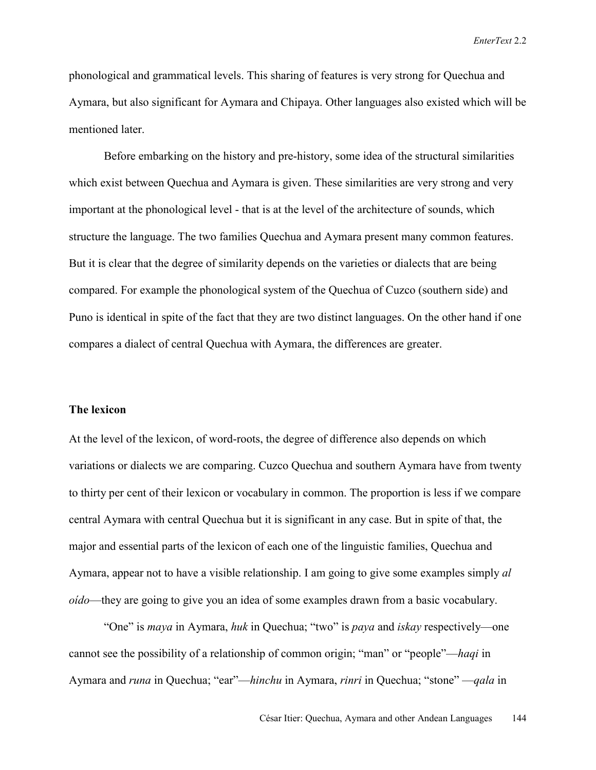phonological and grammatical levels. This sharing of features is very strong for Quechua and Aymara, but also significant for Aymara and Chipaya. Other languages also existed which will be mentioned later.

Before embarking on the history and pre-history, some idea of the structural similarities which exist between Quechua and Aymara is given. These similarities are very strong and very important at the phonological level - that is at the level of the architecture of sounds, which structure the language. The two families Quechua and Aymara present many common features. But it is clear that the degree of similarity depends on the varieties or dialects that are being compared. For example the phonological system of the Quechua of Cuzco (southern side) and Puno is identical in spite of the fact that they are two distinct languages. On the other hand if one compares a dialect of central Quechua with Aymara, the differences are greater.

#### **The lexicon**

At the level of the lexicon, of word-roots, the degree of difference also depends on which variations or dialects we are comparing. Cuzco Quechua and southern Aymara have from twenty to thirty per cent of their lexicon or vocabulary in common. The proportion is less if we compare central Aymara with central Quechua but it is significant in any case. But in spite of that, the major and essential parts of the lexicon of each one of the linguistic families, Quechua and Aymara, appear not to have a visible relationship. I am going to give some examples simply *al oído*—they are going to give you an idea of some examples drawn from a basic vocabulary.

"One" is *maya* in Aymara, *huk* in Quechua; "two" is *paya* and *iskay* respectively—one cannot see the possibility of a relationship of common origin; "man" or "people"—*haqi* in Aymara and *runa* in Quechua; "ear"—*hinchu* in Aymara, *rinri* in Quechua; "stone" —*qala* in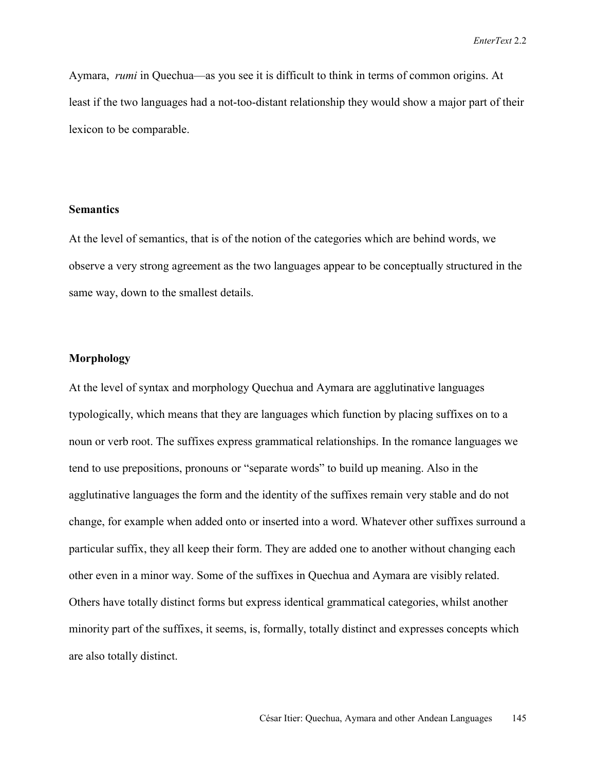Aymara, *rumi* in Quechua—as you see it is difficult to think in terms of common origins. At least if the two languages had a not-too-distant relationship they would show a major part of their lexicon to be comparable.

### **Semantics**

At the level of semantics, that is of the notion of the categories which are behind words, we observe a very strong agreement as the two languages appear to be conceptually structured in the same way, down to the smallest details.

### **Morphology**

At the level of syntax and morphology Quechua and Aymara are agglutinative languages typologically, which means that they are languages which function by placing suffixes on to a noun or verb root. The suffixes express grammatical relationships. In the romance languages we tend to use prepositions, pronouns or "separate words" to build up meaning. Also in the agglutinative languages the form and the identity of the suffixes remain very stable and do not change, for example when added onto or inserted into a word. Whatever other suffixes surround a particular suffix, they all keep their form. They are added one to another without changing each other even in a minor way. Some of the suffixes in Quechua and Aymara are visibly related. Others have totally distinct forms but express identical grammatical categories, whilst another minority part of the suffixes, it seems, is, formally, totally distinct and expresses concepts which are also totally distinct.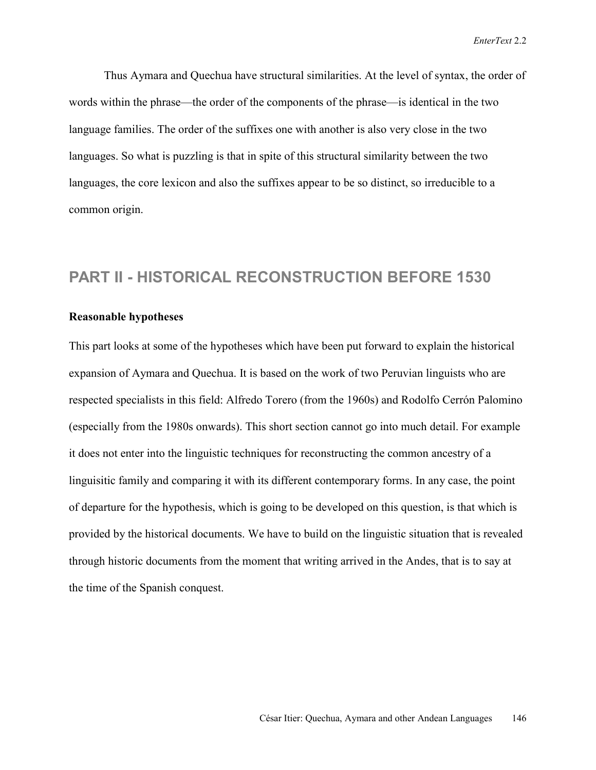Thus Aymara and Quechua have structural similarities. At the level of syntax, the order of words within the phrase—the order of the components of the phrase—is identical in the two language families. The order of the suffixes one with another is also very close in the two languages. So what is puzzling is that in spite of this structural similarity between the two languages, the core lexicon and also the suffixes appear to be so distinct, so irreducible to a common origin.

### **PART II - HISTORICAL RECONSTRUCTION BEFORE 1530**

### **Reasonable hypotheses**

This part looks at some of the hypotheses which have been put forward to explain the historical expansion of Aymara and Quechua. It is based on the work of two Peruvian linguists who are respected specialists in this field: Alfredo Torero (from the 1960s) and Rodolfo Cerrón Palomino (especially from the 1980s onwards). This short section cannot go into much detail. For example it does not enter into the linguistic techniques for reconstructing the common ancestry of a linguisitic family and comparing it with its different contemporary forms. In any case, the point of departure for the hypothesis, which is going to be developed on this question, is that which is provided by the historical documents. We have to build on the linguistic situation that is revealed through historic documents from the moment that writing arrived in the Andes, that is to say at the time of the Spanish conquest.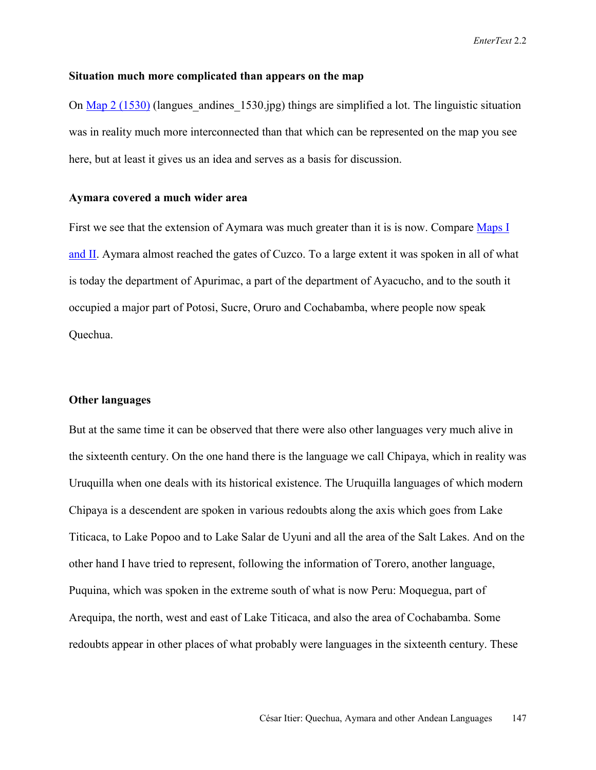### **Situation much more complicated than appears on the map**

On Map 2 (1530) (langues andines  $1530$ .jpg) things are simplified a lot. The linguistic situation was in reality much more interconnected than that which can be represented on the map you see here, but at least it gives us an idea and serves as a basis for discussion.

### **Aymara covered a much wider area**

First we see that the extension of Aymara was much greater than it is is now. Compare Maps I and II. Aymara almost reached the gates of Cuzco. To a large extent it was spoken in all of what is today the department of Apurimac, a part of the department of Ayacucho, and to the south it occupied a major part of Potosi, Sucre, Oruro and Cochabamba, where people now speak Quechua.

### **Other languages**

But at the same time it can be observed that there were also other languages very much alive in the sixteenth century. On the one hand there is the language we call Chipaya, which in reality was Uruquilla when one deals with its historical existence. The Uruquilla languages of which modern Chipaya is a descendent are spoken in various redoubts along the axis which goes from Lake Titicaca, to Lake Popoo and to Lake Salar de Uyuni and all the area of the Salt Lakes. And on the other hand I have tried to represent, following the information of Torero, another language, Puquina, which was spoken in the extreme south of what is now Peru: Moquegua, part of Arequipa, the north, west and east of Lake Titicaca, and also the area of Cochabamba. Some redoubts appear in other places of what probably were languages in the sixteenth century. These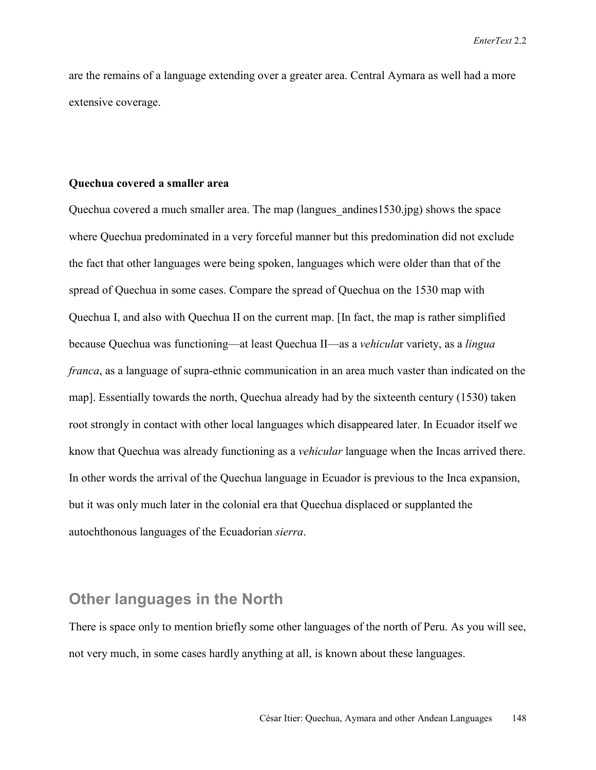are the remains of a language extending over a greater area. Central Aymara as well had a more extensive coverage.

### **Quechua covered a smaller area**

Quechua covered a much smaller area. The map (langues\_andines1530.jpg) shows the space where Quechua predominated in a very forceful manner but this predomination did not exclude the fact that other languages were being spoken, languages which were older than that of the spread of Quechua in some cases. Compare the spread of Quechua on the 1530 map with Quechua I, and also with Quechua II on the current map. [In fact, the map is rather simplified because Quechua was functioning—at least Quechua II—as a *vehicula*r variety, as a *lingua franca*, as a language of supra-ethnic communication in an area much vaster than indicated on the map]. Essentially towards the north, Quechua already had by the sixteenth century (1530) taken root strongly in contact with other local languages which disappeared later. In Ecuador itself we know that Quechua was already functioning as a *vehicular* language when the Incas arrived there. In other words the arrival of the Quechua language in Ecuador is previous to the Inca expansion, but it was only much later in the colonial era that Quechua displaced or supplanted the autochthonous languages of the Ecuadorian *sierra*.

### **Other languages in the North**

There is space only to mention briefly some other languages of the north of Peru. As you will see, not very much, in some cases hardly anything at all, is known about these languages.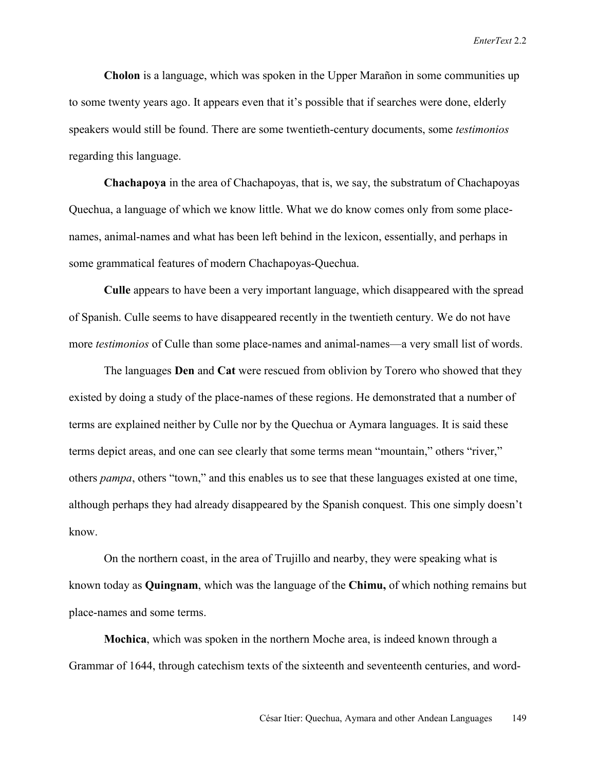**Cholon** is a language, which was spoken in the Upper Marañon in some communities up to some twenty years ago. It appears even that it's possible that if searches were done, elderly speakers would still be found. There are some twentieth-century documents, some *testimonios* regarding this language.

**Chachapoya** in the area of Chachapoyas, that is, we say, the substratum of Chachapoyas Quechua, a language of which we know little. What we do know comes only from some placenames, animal-names and what has been left behind in the lexicon, essentially, and perhaps in some grammatical features of modern Chachapoyas-Quechua.

**Culle** appears to have been a very important language, which disappeared with the spread of Spanish. Culle seems to have disappeared recently in the twentieth century. We do not have more *testimonios* of Culle than some place-names and animal-names—a very small list of words.

The languages **Den** and **Cat** were rescued from oblivion by Torero who showed that they existed by doing a study of the place-names of these regions. He demonstrated that a number of terms are explained neither by Culle nor by the Quechua or Aymara languages. It is said these terms depict areas, and one can see clearly that some terms mean "mountain," others "river," others *pampa*, others "town," and this enables us to see that these languages existed at one time, although perhaps they had already disappeared by the Spanish conquest. This one simply doesn't know.

On the northern coast, in the area of Trujillo and nearby, they were speaking what is known today as **Quingnam**, which was the language of the **Chimu,** of which nothing remains but place-names and some terms.

**Mochica**, which was spoken in the northern Moche area, is indeed known through a Grammar of 1644, through catechism texts of the sixteenth and seventeenth centuries, and word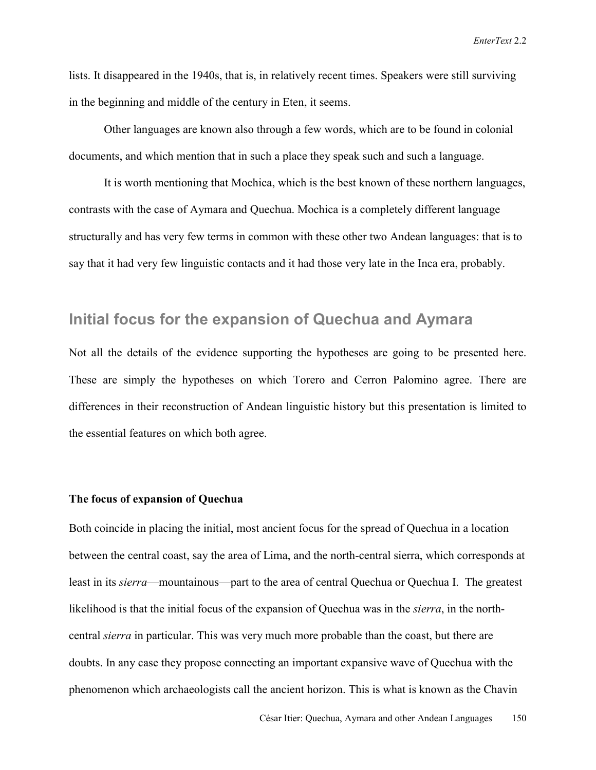lists. It disappeared in the 1940s, that is, in relatively recent times. Speakers were still surviving in the beginning and middle of the century in Eten, it seems.

Other languages are known also through a few words, which are to be found in colonial documents, and which mention that in such a place they speak such and such a language.

It is worth mentioning that Mochica, which is the best known of these northern languages, contrasts with the case of Aymara and Quechua. Mochica is a completely different language structurally and has very few terms in common with these other two Andean languages: that is to say that it had very few linguistic contacts and it had those very late in the Inca era, probably.

### **Initial focus for the expansion of Quechua and Aymara**

Not all the details of the evidence supporting the hypotheses are going to be presented here. These are simply the hypotheses on which Torero and Cerron Palomino agree. There are differences in their reconstruction of Andean linguistic history but this presentation is limited to the essential features on which both agree.

### **The focus of expansion of Quechua**

Both coincide in placing the initial, most ancient focus for the spread of Quechua in a location between the central coast, say the area of Lima, and the north-central sierra, which corresponds at least in its *sierra*—mountainous—part to the area of central Quechua or Quechua I. The greatest likelihood is that the initial focus of the expansion of Quechua was in the *sierra*, in the northcentral *sierra* in particular. This was very much more probable than the coast, but there are doubts. In any case they propose connecting an important expansive wave of Quechua with the phenomenon which archaeologists call the ancient horizon. This is what is known as the Chavin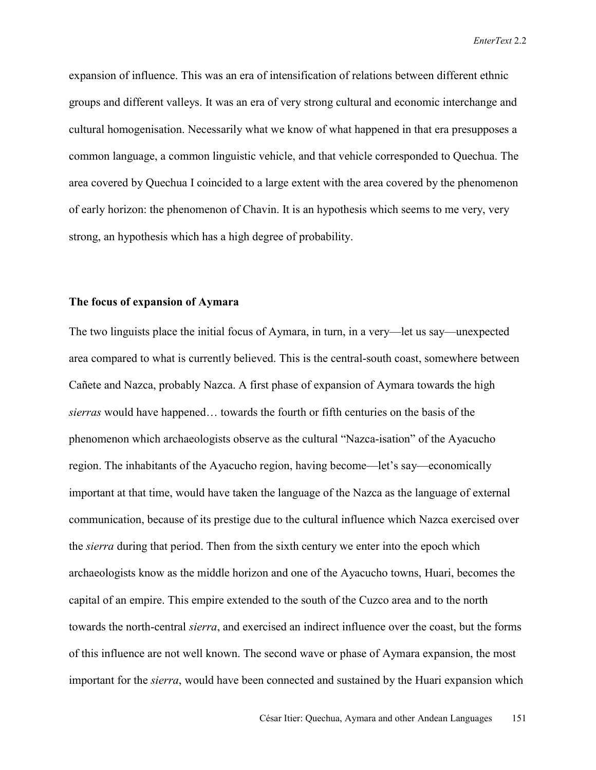expansion of influence. This was an era of intensification of relations between different ethnic groups and different valleys. It was an era of very strong cultural and economic interchange and cultural homogenisation. Necessarily what we know of what happened in that era presupposes a common language, a common linguistic vehicle, and that vehicle corresponded to Quechua. The area covered by Quechua I coincided to a large extent with the area covered by the phenomenon of early horizon: the phenomenon of Chavin. It is an hypothesis which seems to me very, very strong, an hypothesis which has a high degree of probability.

### **The focus of expansion of Aymara**

The two linguists place the initial focus of Aymara, in turn, in a very—let us say—unexpected area compared to what is currently believed. This is the central-south coast, somewhere between Cañete and Nazca, probably Nazca. A first phase of expansion of Aymara towards the high *sierras* would have happened… towards the fourth or fifth centuries on the basis of the phenomenon which archaeologists observe as the cultural "Nazca-isation" of the Ayacucho region. The inhabitants of the Ayacucho region, having become—let's say—economically important at that time, would have taken the language of the Nazca as the language of external communication, because of its prestige due to the cultural influence which Nazca exercised over the *sierra* during that period. Then from the sixth century we enter into the epoch which archaeologists know as the middle horizon and one of the Ayacucho towns, Huari, becomes the capital of an empire. This empire extended to the south of the Cuzco area and to the north towards the north-central *sierra*, and exercised an indirect influence over the coast, but the forms of this influence are not well known. The second wave or phase of Aymara expansion, the most important for the *sierra*, would have been connected and sustained by the Huari expansion which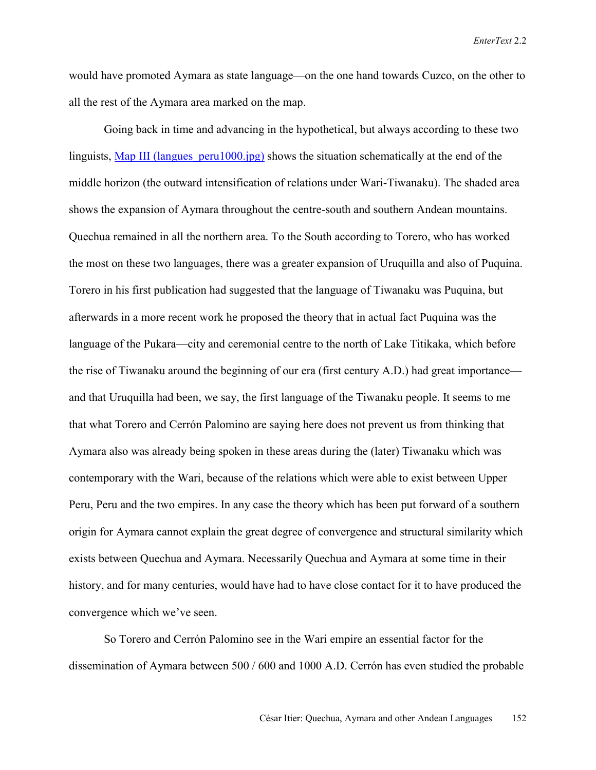would have promoted Aymara as state language—on the one hand towards Cuzco, on the other to all the rest of the Aymara area marked on the map.

Going back in time and advancing in the hypothetical, but always according to these two linguists, Map III (langues peru1000.jpg) shows the situation schematically at the end of the middle horizon (the outward intensification of relations under Wari-Tiwanaku). The shaded area shows the expansion of Aymara throughout the centre-south and southern Andean mountains. Quechua remained in all the northern area. To the South according to Torero, who has worked the most on these two languages, there was a greater expansion of Uruquilla and also of Puquina. Torero in his first publication had suggested that the language of Tiwanaku was Puquina, but afterwards in a more recent work he proposed the theory that in actual fact Puquina was the language of the Pukara—city and ceremonial centre to the north of Lake Titikaka, which before the rise of Tiwanaku around the beginning of our era (first century A.D.) had great importance and that Uruquilla had been, we say, the first language of the Tiwanaku people. It seems to me that what Torero and Cerrón Palomino are saying here does not prevent us from thinking that Aymara also was already being spoken in these areas during the (later) Tiwanaku which was contemporary with the Wari, because of the relations which were able to exist between Upper Peru, Peru and the two empires. In any case the theory which has been put forward of a southern origin for Aymara cannot explain the great degree of convergence and structural similarity which exists between Quechua and Aymara. Necessarily Quechua and Aymara at some time in their history, and for many centuries, would have had to have close contact for it to have produced the convergence which we've seen.

So Torero and Cerrón Palomino see in the Wari empire an essential factor for the dissemination of Aymara between 500 / 600 and 1000 A.D. Cerrón has even studied the probable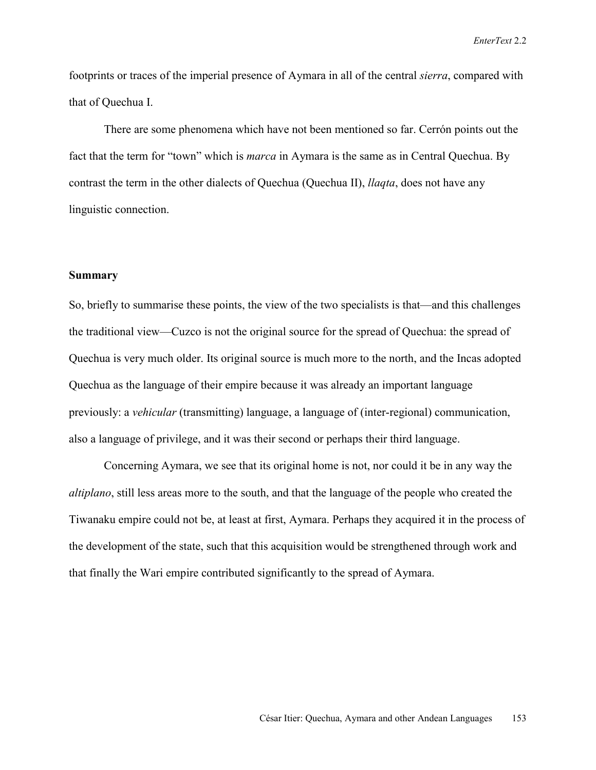footprints or traces of the imperial presence of Aymara in all of the central *sierra*, compared with that of Quechua I.

There are some phenomena which have not been mentioned so far. Cerrón points out the fact that the term for "town" which is *marca* in Aymara is the same as in Central Quechua. By contrast the term in the other dialects of Quechua (Quechua II), *llaqta*, does not have any linguistic connection.

### **Summary**

So, briefly to summarise these points, the view of the two specialists is that—and this challenges the traditional view—Cuzco is not the original source for the spread of Quechua: the spread of Quechua is very much older. Its original source is much more to the north, and the Incas adopted Quechua as the language of their empire because it was already an important language previously: a *vehicular* (transmitting) language, a language of (inter-regional) communication, also a language of privilege, and it was their second or perhaps their third language.

Concerning Aymara, we see that its original home is not, nor could it be in any way the *altiplano*, still less areas more to the south, and that the language of the people who created the Tiwanaku empire could not be, at least at first, Aymara. Perhaps they acquired it in the process of the development of the state, such that this acquisition would be strengthened through work and that finally the Wari empire contributed significantly to the spread of Aymara.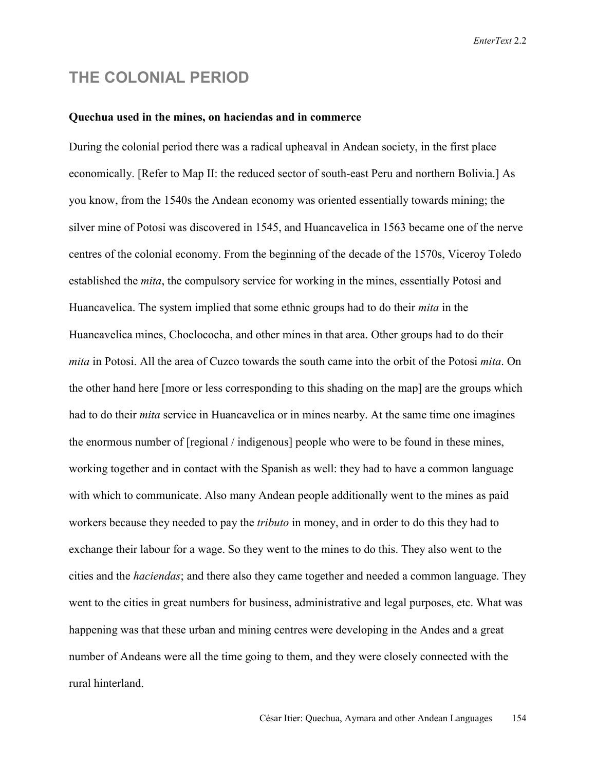### **THE COLONIAL PERIOD**

### **Quechua used in the mines, on haciendas and in commerce**

During the colonial period there was a radical upheaval in Andean society, in the first place economically. [Refer to Map II: the reduced sector of south-east Peru and northern Bolivia.] As you know, from the 1540s the Andean economy was oriented essentially towards mining; the silver mine of Potosi was discovered in 1545, and Huancavelica in 1563 became one of the nerve centres of the colonial economy. From the beginning of the decade of the 1570s, Viceroy Toledo established the *mita*, the compulsory service for working in the mines, essentially Potosi and Huancavelica. The system implied that some ethnic groups had to do their *mita* in the Huancavelica mines, Choclococha, and other mines in that area. Other groups had to do their *mita* in Potosi. All the area of Cuzco towards the south came into the orbit of the Potosi *mita*. On the other hand here [more or less corresponding to this shading on the map] are the groups which had to do their *mita* service in Huancavelica or in mines nearby. At the same time one imagines the enormous number of [regional / indigenous] people who were to be found in these mines, working together and in contact with the Spanish as well: they had to have a common language with which to communicate. Also many Andean people additionally went to the mines as paid workers because they needed to pay the *tributo* in money, and in order to do this they had to exchange their labour for a wage. So they went to the mines to do this. They also went to the cities and the *haciendas*; and there also they came together and needed a common language. They went to the cities in great numbers for business, administrative and legal purposes, etc. What was happening was that these urban and mining centres were developing in the Andes and a great number of Andeans were all the time going to them, and they were closely connected with the rural hinterland.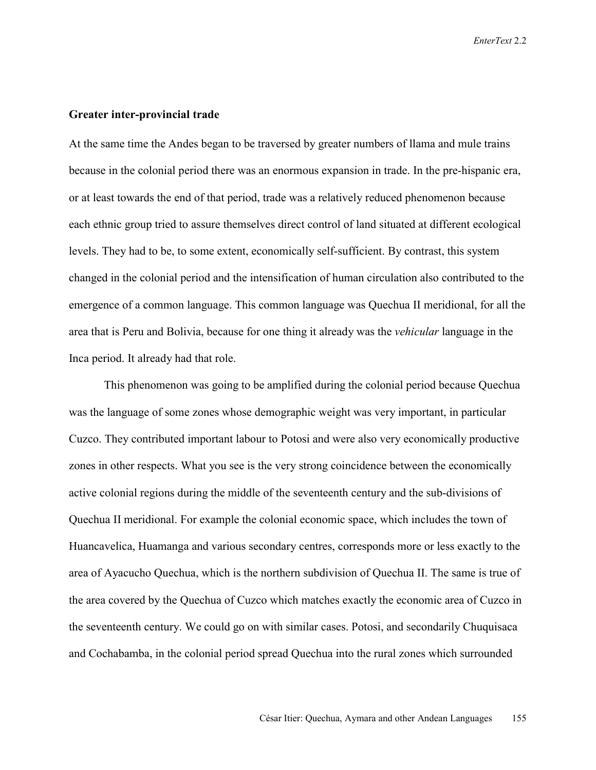### **Greater inter-provincial trade**

At the same time the Andes began to be traversed by greater numbers of llama and mule trains because in the colonial period there was an enormous expansion in trade. In the pre-hispanic era, or at least towards the end of that period, trade was a relatively reduced phenomenon because each ethnic group tried to assure themselves direct control of land situated at different ecological levels. They had to be, to some extent, economically self-sufficient. By contrast, this system changed in the colonial period and the intensification of human circulation also contributed to the emergence of a common language. This common language was Quechua II meridional, for all the area that is Peru and Bolivia, because for one thing it already was the *vehicular* language in the Inca period. It already had that role.

This phenomenon was going to be amplified during the colonial period because Quechua was the language of some zones whose demographic weight was very important, in particular Cuzco. They contributed important labour to Potosi and were also very economically productive zones in other respects. What you see is the very strong coincidence between the economically active colonial regions during the middle of the seventeenth century and the sub-divisions of Quechua II meridional. For example the colonial economic space, which includes the town of Huancavelica, Huamanga and various secondary centres, corresponds more or less exactly to the area of Ayacucho Quechua, which is the northern subdivision of Quechua II. The same is true of the area covered by the Quechua of Cuzco which matches exactly the economic area of Cuzco in the seventeenth century. We could go on with similar cases. Potosi, and secondarily Chuquisaca and Cochabamba, in the colonial period spread Quechua into the rural zones which surrounded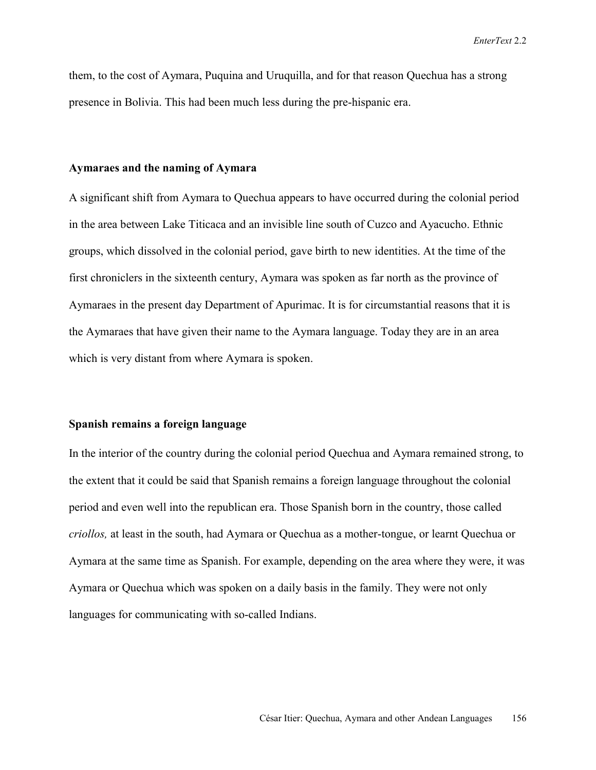them, to the cost of Aymara, Puquina and Uruquilla, and for that reason Quechua has a strong presence in Bolivia. This had been much less during the pre-hispanic era.

### **Aymaraes and the naming of Aymara**

A significant shift from Aymara to Quechua appears to have occurred during the colonial period in the area between Lake Titicaca and an invisible line south of Cuzco and Ayacucho. Ethnic groups, which dissolved in the colonial period, gave birth to new identities. At the time of the first chroniclers in the sixteenth century, Aymara was spoken as far north as the province of Aymaraes in the present day Department of Apurimac. It is for circumstantial reasons that it is the Aymaraes that have given their name to the Aymara language. Today they are in an area which is very distant from where Aymara is spoken.

### **Spanish remains a foreign language**

In the interior of the country during the colonial period Quechua and Aymara remained strong, to the extent that it could be said that Spanish remains a foreign language throughout the colonial period and even well into the republican era. Those Spanish born in the country, those called *criollos,* at least in the south, had Aymara or Quechua as a mother-tongue, or learnt Quechua or Aymara at the same time as Spanish. For example, depending on the area where they were, it was Aymara or Quechua which was spoken on a daily basis in the family. They were not only languages for communicating with so-called Indians.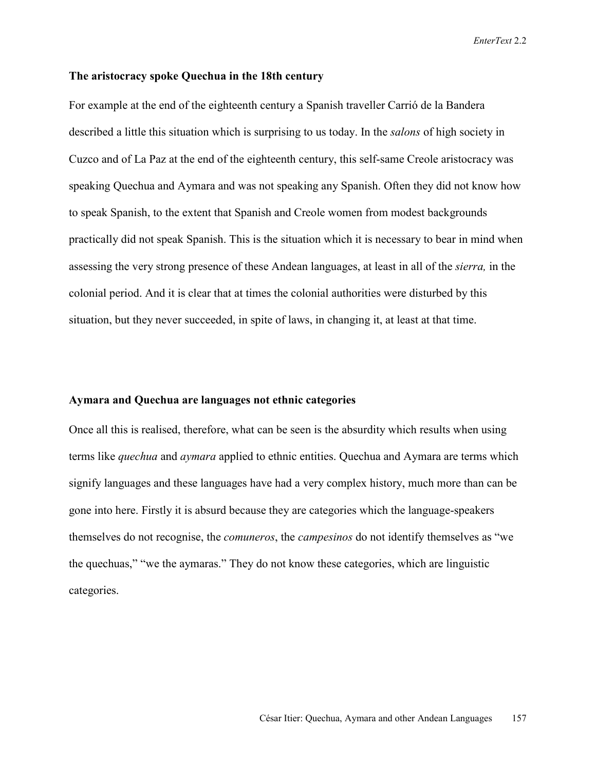#### **The aristocracy spoke Quechua in the 18th century**

For example at the end of the eighteenth century a Spanish traveller Carrió de la Bandera described a little this situation which is surprising to us today. In the *salons* of high society in Cuzco and of La Paz at the end of the eighteenth century, this self-same Creole aristocracy was speaking Quechua and Aymara and was not speaking any Spanish. Often they did not know how to speak Spanish, to the extent that Spanish and Creole women from modest backgrounds practically did not speak Spanish. This is the situation which it is necessary to bear in mind when assessing the very strong presence of these Andean languages, at least in all of the *sierra,* in the colonial period. And it is clear that at times the colonial authorities were disturbed by this situation, but they never succeeded, in spite of laws, in changing it, at least at that time.

### **Aymara and Quechua are languages not ethnic categories**

Once all this is realised, therefore, what can be seen is the absurdity which results when using terms like *quechua* and *aymara* applied to ethnic entities. Quechua and Aymara are terms which signify languages and these languages have had a very complex history, much more than can be gone into here. Firstly it is absurd because they are categories which the language-speakers themselves do not recognise, the *comuneros*, the *campesinos* do not identify themselves as "we the quechuas," "we the aymaras." They do not know these categories, which are linguistic categories.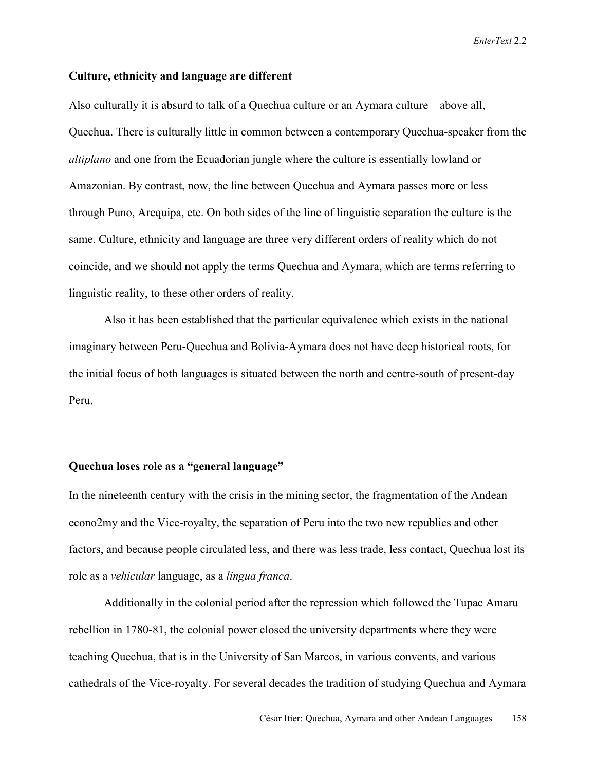### **Culture, ethnicity and language are different**

Also culturally it is absurd to talk of a Quechua culture or an Aymara culture—above all, Quechua. There is culturally little in common between a contemporary Quechua-speaker from the *altiplano* and one from the Ecuadorian jungle where the culture is essentially lowland or Amazonian. By contrast, now, the line between Quechua and Aymara passes more or less through Puno, Arequipa, etc. On both sides of the line of linguistic separation the culture is the same. Culture, ethnicity and language are three very different orders of reality which do not coincide, and we should not apply the terms Quechua and Aymara, which are terms referring to linguistic reality, to these other orders of reality.

Also it has been established that the particular equivalence which exists in the national imaginary between Peru-Quechua and Bolivia-Aymara does not have deep historical roots, for the initial focus of both languages is situated between the north and centre-south of present-day Peru.

### **Quechua loses role as a "general language"**

In the nineteenth century with the crisis in the mining sector, the fragmentation of the Andean econo2my and the Vice-royalty, the separation of Peru into the two new republics and other factors, and because people circulated less, and there was less trade, less contact, Quechua lost its role as a *vehicular* language, as a *lingua franca*.

Additionally in the colonial period after the repression which followed the Tupac Amaru rebellion in 1780-81, the colonial power closed the university departments where they were teaching Quechua, that is in the University of San Marcos, in various convents, and various cathedrals of the Vice-royalty. For several decades the tradition of studying Quechua and Aymara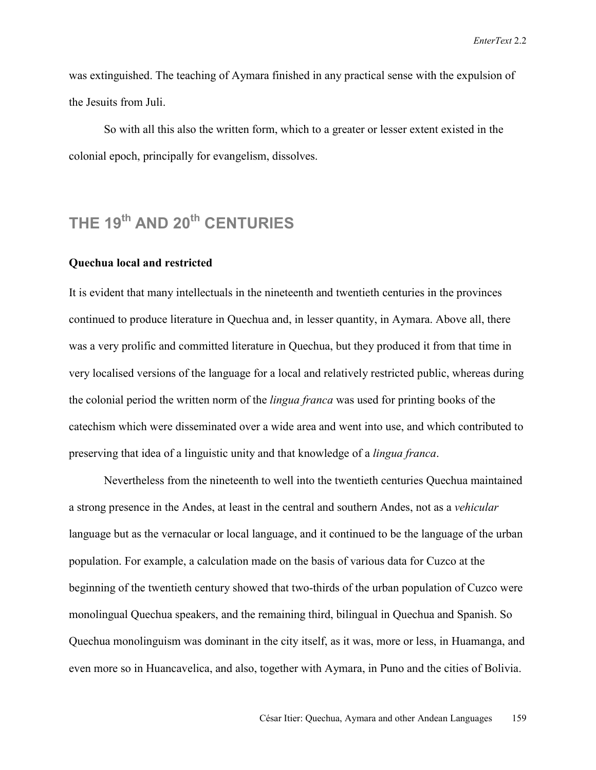was extinguished. The teaching of Aymara finished in any practical sense with the expulsion of the Jesuits from Juli.

So with all this also the written form, which to a greater or lesser extent existed in the colonial epoch, principally for evangelism, dissolves.

## **THE 19<sup>th</sup> AND 20<sup>th</sup> CENTURIES**

### **Quechua local and restricted**

It is evident that many intellectuals in the nineteenth and twentieth centuries in the provinces continued to produce literature in Quechua and, in lesser quantity, in Aymara. Above all, there was a very prolific and committed literature in Quechua, but they produced it from that time in very localised versions of the language for a local and relatively restricted public, whereas during the colonial period the written norm of the *lingua franca* was used for printing books of the catechism which were disseminated over a wide area and went into use, and which contributed to preserving that idea of a linguistic unity and that knowledge of a *lingua franca*.

Nevertheless from the nineteenth to well into the twentieth centuries Quechua maintained a strong presence in the Andes, at least in the central and southern Andes, not as a *vehicular* language but as the vernacular or local language, and it continued to be the language of the urban population. For example, a calculation made on the basis of various data for Cuzco at the beginning of the twentieth century showed that two-thirds of the urban population of Cuzco were monolingual Quechua speakers, and the remaining third, bilingual in Quechua and Spanish. So Quechua monolinguism was dominant in the city itself, as it was, more or less, in Huamanga, and even more so in Huancavelica, and also, together with Aymara, in Puno and the cities of Bolivia.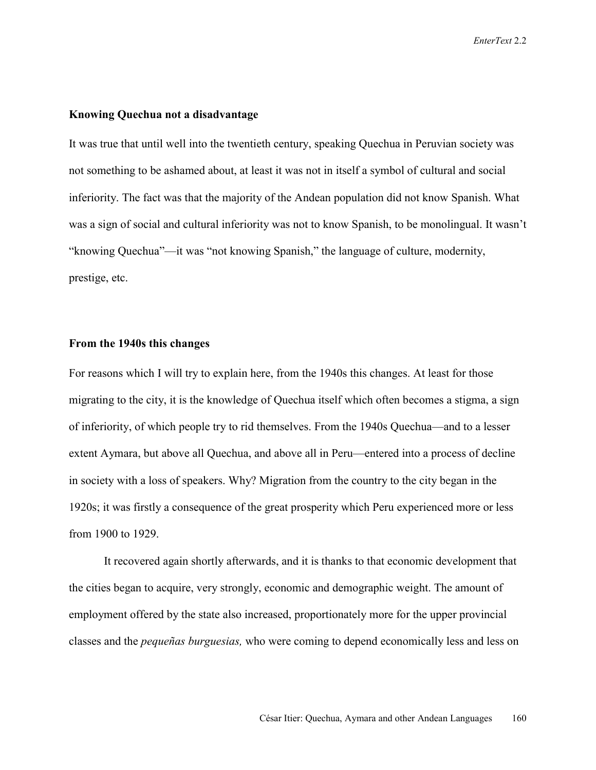### **Knowing Quechua not a disadvantage**

It was true that until well into the twentieth century, speaking Quechua in Peruvian society was not something to be ashamed about, at least it was not in itself a symbol of cultural and social inferiority. The fact was that the majority of the Andean population did not know Spanish. What was a sign of social and cultural inferiority was not to know Spanish, to be monolingual. It wasn't "knowing Quechua"—it was "not knowing Spanish," the language of culture, modernity, prestige, etc.

### **From the 1940s this changes**

For reasons which I will try to explain here, from the 1940s this changes. At least for those migrating to the city, it is the knowledge of Quechua itself which often becomes a stigma, a sign of inferiority, of which people try to rid themselves. From the 1940s Quechua—and to a lesser extent Aymara, but above all Quechua, and above all in Peru—entered into a process of decline in society with a loss of speakers. Why? Migration from the country to the city began in the 1920s; it was firstly a consequence of the great prosperity which Peru experienced more or less from 1900 to 1929.

It recovered again shortly afterwards, and it is thanks to that economic development that the cities began to acquire, very strongly, economic and demographic weight. The amount of employment offered by the state also increased, proportionately more for the upper provincial classes and the *pequeñas burguesias,* who were coming to depend economically less and less on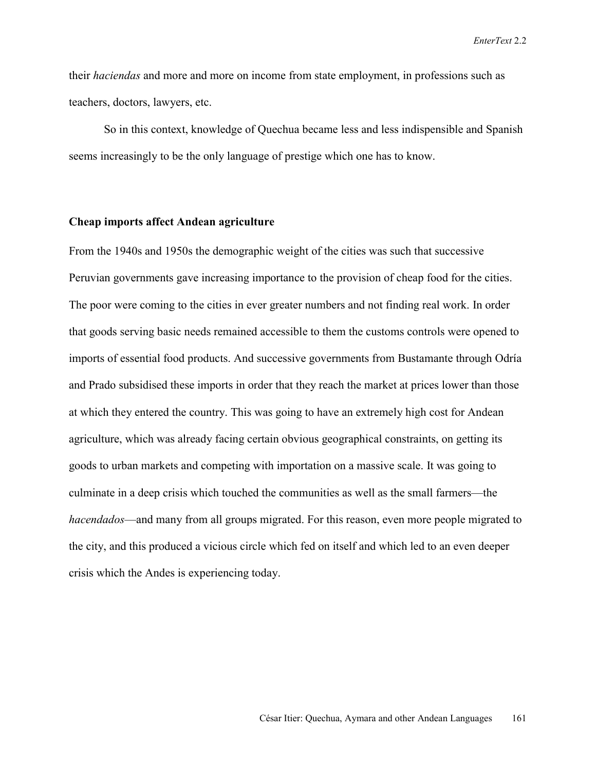their *haciendas* and more and more on income from state employment, in professions such as teachers, doctors, lawyers, etc.

So in this context, knowledge of Quechua became less and less indispensible and Spanish seems increasingly to be the only language of prestige which one has to know.

### **Cheap imports affect Andean agriculture**

From the 1940s and 1950s the demographic weight of the cities was such that successive Peruvian governments gave increasing importance to the provision of cheap food for the cities. The poor were coming to the cities in ever greater numbers and not finding real work. In order that goods serving basic needs remained accessible to them the customs controls were opened to imports of essential food products. And successive governments from Bustamante through Odría and Prado subsidised these imports in order that they reach the market at prices lower than those at which they entered the country. This was going to have an extremely high cost for Andean agriculture, which was already facing certain obvious geographical constraints, on getting its goods to urban markets and competing with importation on a massive scale. It was going to culminate in a deep crisis which touched the communities as well as the small farmers—the *hacendados*—and many from all groups migrated. For this reason, even more people migrated to the city, and this produced a vicious circle which fed on itself and which led to an even deeper crisis which the Andes is experiencing today.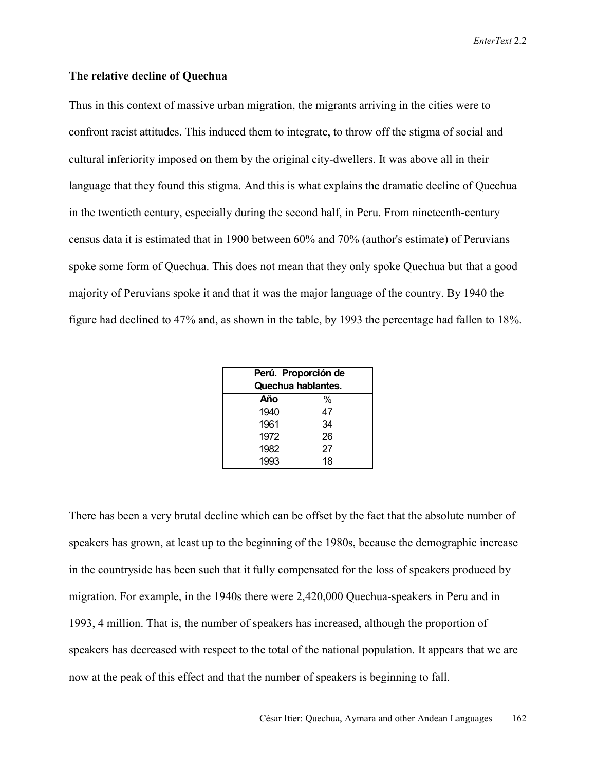### **The relative decline of Quechua**

Thus in this context of massive urban migration, the migrants arriving in the cities were to confront racist attitudes. This induced them to integrate, to throw off the stigma of social and cultural inferiority imposed on them by the original city-dwellers. It was above all in their language that they found this stigma. And this is what explains the dramatic decline of Quechua in the twentieth century, especially during the second half, in Peru. From nineteenth-century census data it is estimated that in 1900 between 60% and 70% (author's estimate) of Peruvians spoke some form of Quechua. This does not mean that they only spoke Quechua but that a good majority of Peruvians spoke it and that it was the major language of the country. By 1940 the figure had declined to 47% and, as shown in the table, by 1993 the percentage had fallen to 18%.

| Perú. Proporción de<br>Quechua hablantes. |    |  |
|-------------------------------------------|----|--|
| Año                                       | %  |  |
| 1940                                      | 47 |  |
| 1961                                      | 34 |  |
| 1972                                      | 26 |  |
| 1982                                      | 27 |  |
| 1993                                      | 18 |  |

There has been a very brutal decline which can be offset by the fact that the absolute number of speakers has grown, at least up to the beginning of the 1980s, because the demographic increase in the countryside has been such that it fully compensated for the loss of speakers produced by migration. For example, in the 1940s there were 2,420,000 Quechua-speakers in Peru and in 1993, 4 million. That is, the number of speakers has increased, although the proportion of speakers has decreased with respect to the total of the national population. It appears that we are now at the peak of this effect and that the number of speakers is beginning to fall.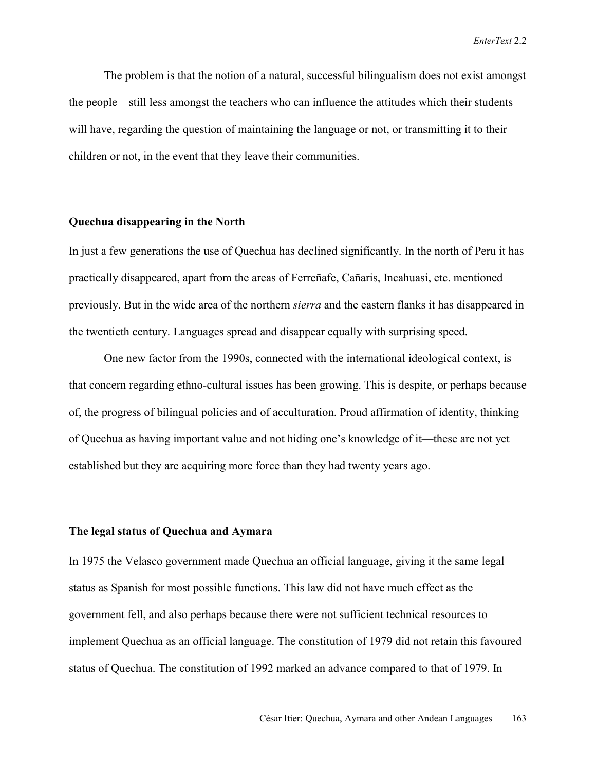The problem is that the notion of a natural, successful bilingualism does not exist amongst the people—still less amongst the teachers who can influence the attitudes which their students will have, regarding the question of maintaining the language or not, or transmitting it to their children or not, in the event that they leave their communities.

### **Quechua disappearing in the North**

In just a few generations the use of Quechua has declined significantly. In the north of Peru it has practically disappeared, apart from the areas of Ferreñafe, Cañaris, Incahuasi, etc. mentioned previously. But in the wide area of the northern *sierra* and the eastern flanks it has disappeared in the twentieth century. Languages spread and disappear equally with surprising speed.

One new factor from the 1990s, connected with the international ideological context, is that concern regarding ethno-cultural issues has been growing. This is despite, or perhaps because of, the progress of bilingual policies and of acculturation. Proud affirmation of identity, thinking of Quechua as having important value and not hiding one's knowledge of it—these are not yet established but they are acquiring more force than they had twenty years ago.

### **The legal status of Quechua and Aymara**

In 1975 the Velasco government made Quechua an official language, giving it the same legal status as Spanish for most possible functions. This law did not have much effect as the government fell, and also perhaps because there were not sufficient technical resources to implement Quechua as an official language. The constitution of 1979 did not retain this favoured status of Quechua. The constitution of 1992 marked an advance compared to that of 1979. In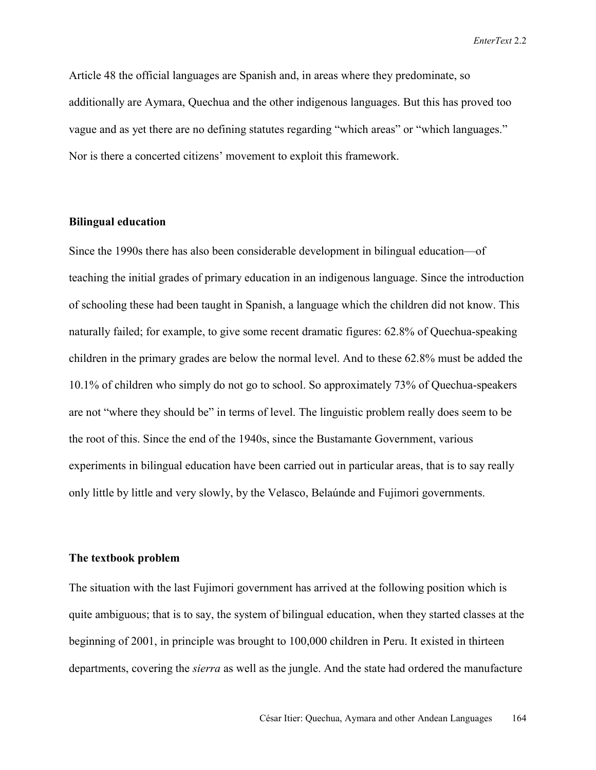Article 48 the official languages are Spanish and, in areas where they predominate, so additionally are Aymara, Quechua and the other indigenous languages. But this has proved too vague and as yet there are no defining statutes regarding "which areas" or "which languages." Nor is there a concerted citizens' movement to exploit this framework.

### **Bilingual education**

Since the 1990s there has also been considerable development in bilingual education—of teaching the initial grades of primary education in an indigenous language. Since the introduction of schooling these had been taught in Spanish, a language which the children did not know. This naturally failed; for example, to give some recent dramatic figures: 62.8% of Quechua-speaking children in the primary grades are below the normal level. And to these 62.8% must be added the 10.1% of children who simply do not go to school. So approximately 73% of Quechua-speakers are not "where they should be" in terms of level. The linguistic problem really does seem to be the root of this. Since the end of the 1940s, since the Bustamante Government, various experiments in bilingual education have been carried out in particular areas, that is to say really only little by little and very slowly, by the Velasco, Belaúnde and Fujimori governments.

### **The textbook problem**

The situation with the last Fujimori government has arrived at the following position which is quite ambiguous; that is to say, the system of bilingual education, when they started classes at the beginning of 2001, in principle was brought to 100,000 children in Peru. It existed in thirteen departments, covering the *sierra* as well as the jungle. And the state had ordered the manufacture